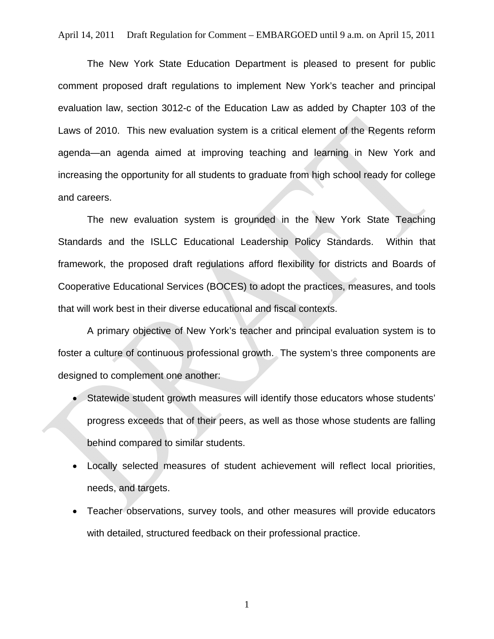The New York State Education Department is pleased to present for public comment proposed draft regulations to implement New York's teacher and principal evaluation law, section 3012-c of the Education Law as added by Chapter 103 of the Laws of 2010. This new evaluation system is a critical element of the Regents reform agenda—an agenda aimed at improving teaching and learning in New York and increasing the opportunity for all students to graduate from high school ready for college and careers.

The new evaluation system is grounded in the New York State Teaching Standards and the ISLLC Educational Leadership Policy Standards. Within that framework, the proposed draft regulations afford flexibility for districts and Boards of Cooperative Educational Services (BOCES) to adopt the practices, measures, and tools that will work best in their diverse educational and fiscal contexts.

A primary objective of New York's teacher and principal evaluation system is to foster a culture of continuous professional growth. The system's three components are designed to complement one another:

- Statewide student growth measures will identify those educators whose students' progress exceeds that of their peers, as well as those whose students are falling behind compared to similar students.
- Locally selected measures of student achievement will reflect local priorities, needs, and targets.
- Teacher observations, survey tools, and other measures will provide educators with detailed, structured feedback on their professional practice.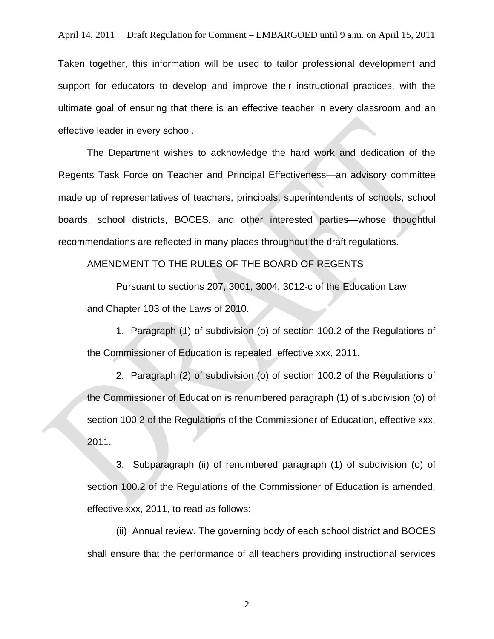Taken together, this information will be used to tailor professional development and support for educators to develop and improve their instructional practices, with the ultimate goal of ensuring that there is an effective teacher in every classroom and an effective leader in every school.

The Department wishes to acknowledge the hard work and dedication of the Regents Task Force on Teacher and Principal Effectiveness—an advisory committee made up of representatives of teachers, principals, superintendents of schools, school boards, school districts, BOCES, and other interested parties—whose thoughtful recommendations are reflected in many places throughout the draft regulations.

AMENDMENT TO THE RULES OF THE BOARD OF REGENTS

Pursuant to sections 207, 3001, 3004, 3012-c of the Education Law and Chapter 103 of the Laws of 2010.

1. Paragraph (1) of subdivision (o) of section 100.2 of the Regulations of the Commissioner of Education is repealed, effective xxx, 2011.

2. Paragraph (2) of subdivision (o) of section 100.2 of the Regulations of the Commissioner of Education is renumbered paragraph (1) of subdivision (o) of section 100.2 of the Regulations of the Commissioner of Education, effective xxx, 2011.

3. Subparagraph (ii) of renumbered paragraph (1) of subdivision (o) of section 100.2 of the Regulations of the Commissioner of Education is amended, effective xxx, 2011, to read as follows:

(ii) Annual review. The governing body of each school district and BOCES shall ensure that the performance of all teachers providing instructional services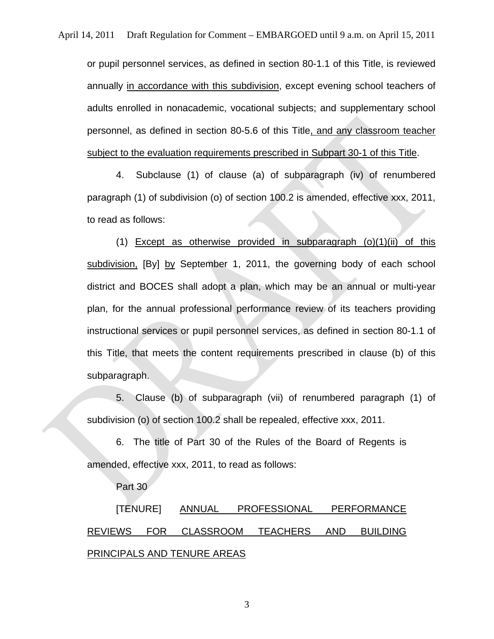or pupil personnel services, as defined in section 80-1.1 of this Title, is reviewed annually in accordance with this subdivision, except evening school teachers of adults enrolled in nonacademic, vocational subjects; and supplementary school personnel, as defined in section 80-5.6 of this Title, and any classroom teacher subject to the evaluation requirements prescribed in Subpart 30-1 of this Title.

4. Subclause (1) of clause (a) of subparagraph (iv) of renumbered paragraph (1) of subdivision (o) of section 100.2 is amended, effective xxx, 2011, to read as follows:

(1) Except as otherwise provided in subparagraph  $(o)(1)(ii)$  of this subdivision, [By] by September 1, 2011, the governing body of each school district and BOCES shall adopt a plan, which may be an annual or multi-year plan, for the annual professional performance review of its teachers providing instructional services or pupil personnel services, as defined in section 80-1.1 of this Title, that meets the content requirements prescribed in clause (b) of this subparagraph.

5. Clause (b) of subparagraph (vii) of renumbered paragraph (1) of subdivision (o) of section 100.2 shall be repealed, effective xxx, 2011.

6. The title of Part 30 of the Rules of the Board of Regents is amended, effective xxx, 2011, to read as follows:

Part 30

[TENURE] ANNUAL PROFESSIONAL PERFORMANCE REVIEWS FOR CLASSROOM TEACHERS AND BUILDING PRINCIPALS AND TENURE AREAS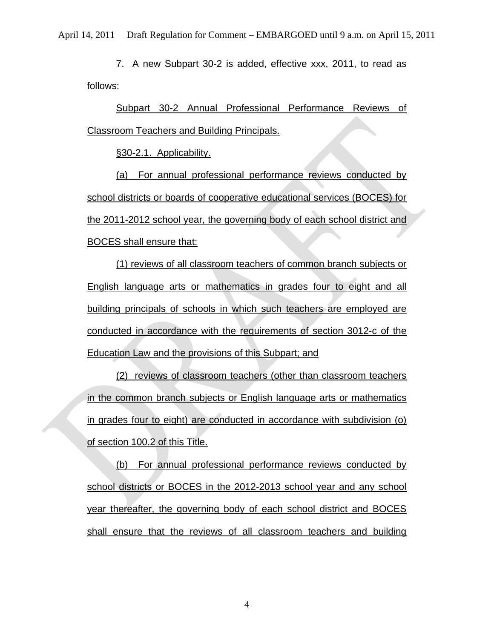7. A new Subpart 30-2 is added, effective xxx, 2011, to read as follows:

Subpart 30-2 Annual Professional Performance Reviews of Classroom Teachers and Building Principals.

§30-2.1. Applicability.

(a) For annual professional performance reviews conducted by school districts or boards of cooperative educational services (BOCES) for the 2011-2012 school year, the governing body of each school district and BOCES shall ensure that:

(1) reviews of all classroom teachers of common branch subjects or English language arts or mathematics in grades four to eight and all building principals of schools in which such teachers are employed are conducted in accordance with the requirements of section 3012-c of the Education Law and the provisions of this Subpart; and

(2) reviews of classroom teachers (other than classroom teachers in the common branch subjects or English language arts or mathematics in grades four to eight) are conducted in accordance with subdivision (o) of section 100.2 of this Title.

(b) For annual professional performance reviews conducted by school districts or BOCES in the 2012-2013 school year and any school year thereafter, the governing body of each school district and BOCES shall ensure that the reviews of all classroom teachers and building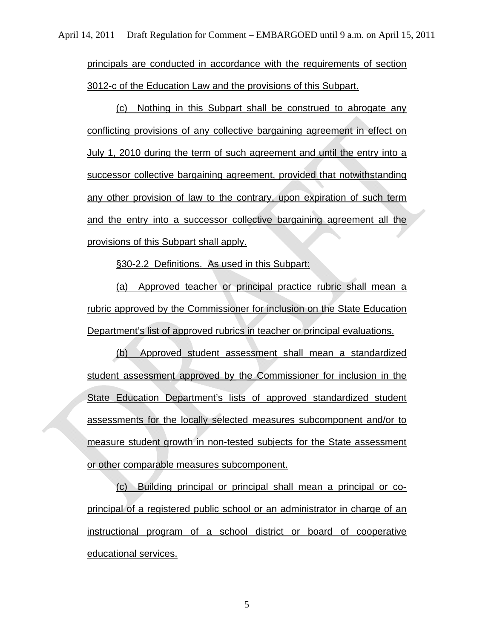principals are conducted in accordance with the requirements of section 3012-c of the Education Law and the provisions of this Subpart.

(c) Nothing in this Subpart shall be construed to abrogate any conflicting provisions of any collective bargaining agreement in effect on July 1, 2010 during the term of such agreement and until the entry into a successor collective bargaining agreement, provided that notwithstanding any other provision of law to the contrary, upon expiration of such term and the entry into a successor collective bargaining agreement all the provisions of this Subpart shall apply.

§30-2.2 Definitions. As used in this Subpart:

(a) Approved teacher or principal practice rubric shall mean a rubric approved by the Commissioner for inclusion on the State Education Department's list of approved rubrics in teacher or principal evaluations.

(b) Approved student assessment shall mean a standardized student assessment approved by the Commissioner for inclusion in the State Education Department's lists of approved standardized student assessments for the locally selected measures subcomponent and/or to measure student growth in non-tested subjects for the State assessment or other comparable measures subcomponent.

(c) Building principal or principal shall mean a principal or coprincipal of a registered public school or an administrator in charge of an instructional program of a school district or board of cooperative educational services.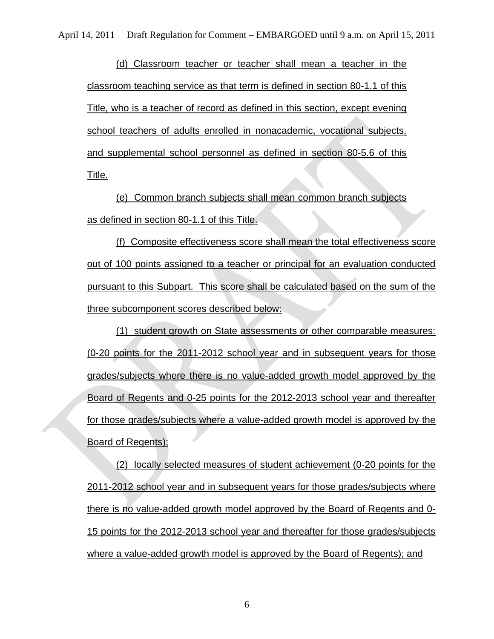(d) Classroom teacher or teacher shall mean a teacher in the classroom teaching service as that term is defined in section 80-1.1 of this Title, who is a teacher of record as defined in this section, except evening school teachers of adults enrolled in nonacademic, vocational subjects, and supplemental school personnel as defined in section 80-5.6 of this Title.

(e) Common branch subjects shall mean common branch subjects as defined in section 80-1.1 of this Title.

(f) Composite effectiveness score shall mean the total effectiveness score out of 100 points assigned to a teacher or principal for an evaluation conducted pursuant to this Subpart. This score shall be calculated based on the sum of the three subcomponent scores described below:

(1) student growth on State assessments or other comparable measures: (0-20 points for the 2011-2012 school year and in subsequent years for those grades/subjects where there is no value-added growth model approved by the Board of Regents and 0-25 points for the 2012-2013 school year and thereafter for those grades/subjects where a value-added growth model is approved by the Board of Regents);

(2) locally selected measures of student achievement (0-20 points for the 2011-2012 school year and in subsequent years for those grades/subjects where there is no value-added growth model approved by the Board of Regents and 0- 15 points for the 2012-2013 school year and thereafter for those grades/subjects where a value-added growth model is approved by the Board of Regents); and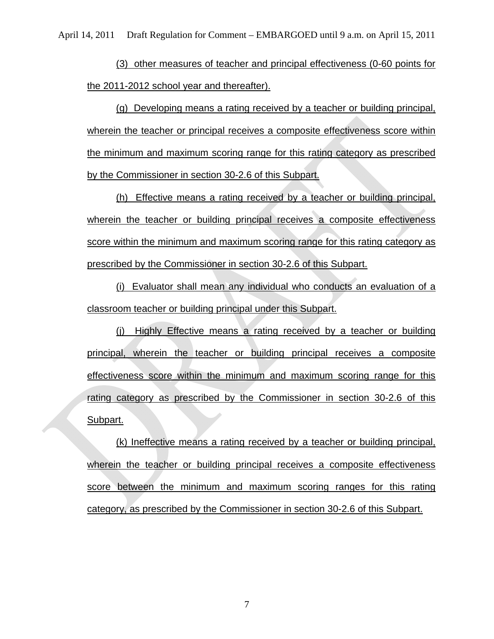(3) other measures of teacher and principal effectiveness (0-60 points for the 2011-2012 school year and thereafter).

(g) Developing means a rating received by a teacher or building principal, wherein the teacher or principal receives a composite effectiveness score within the minimum and maximum scoring range for this rating category as prescribed by the Commissioner in section 30-2.6 of this Subpart.

(h) Effective means a rating received by a teacher or building principal, wherein the teacher or building principal receives a composite effectiveness score within the minimum and maximum scoring range for this rating category as prescribed by the Commissioner in section 30-2.6 of this Subpart.

(i) Evaluator shall mean any individual who conducts an evaluation of a classroom teacher or building principal under this Subpart.

(j) Highly Effective means a rating received by a teacher or building principal, wherein the teacher or building principal receives a composite effectiveness score within the minimum and maximum scoring range for this rating category as prescribed by the Commissioner in section 30-2.6 of this Subpart.

(k) Ineffective means a rating received by a teacher or building principal, wherein the teacher or building principal receives a composite effectiveness score between the minimum and maximum scoring ranges for this rating category, as prescribed by the Commissioner in section 30-2.6 of this Subpart.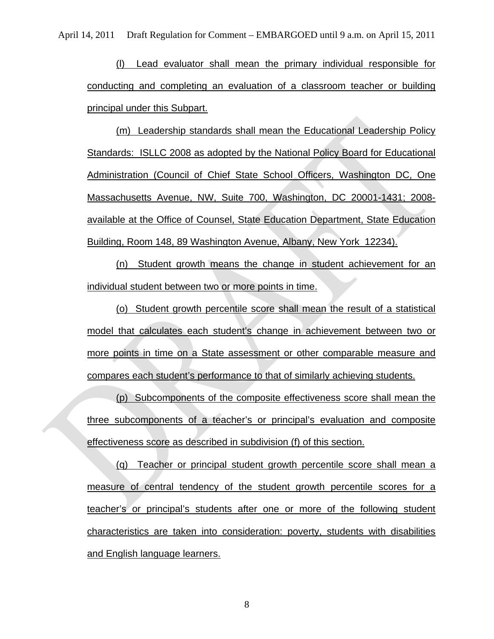(l) Lead evaluator shall mean the primary individual responsible for conducting and completing an evaluation of a classroom teacher or building principal under this Subpart.

(m) Leadership standards shall mean the Educational Leadership Policy Standards: ISLLC 2008 as adopted by the National Policy Board for Educational Administration (Council of Chief State School Officers, Washington DC, One Massachusetts Avenue, NW, Suite 700, Washington, DC 20001-1431; 2008 available at the Office of Counsel, State Education Department, State Education Building, Room 148, 89 Washington Avenue, Albany, New York 12234).

(n) Student growth means the change in student achievement for an individual student between two or more points in time.

(o) Student growth percentile score shall mean the result of a statistical model that calculates each student's change in achievement between two or more points in time on a State assessment or other comparable measure and compares each student's performance to that of similarly achieving students.

(p) Subcomponents of the composite effectiveness score shall mean the three subcomponents of a teacher's or principal's evaluation and composite effectiveness score as described in subdivision (f) of this section.

(q) Teacher or principal student growth percentile score shall mean a measure of central tendency of the student growth percentile scores for a teacher's or principal's students after one or more of the following student characteristics are taken into consideration: poverty, students with disabilities and English language learners.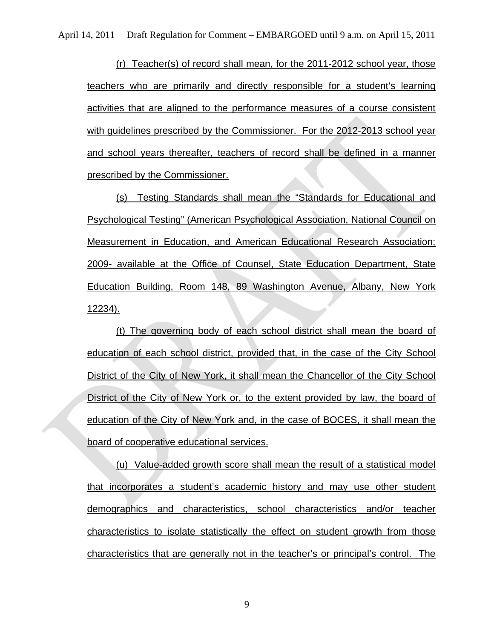(r) Teacher(s) of record shall mean, for the 2011-2012 school year, those teachers who are primarily and directly responsible for a student's learning activities that are aligned to the performance measures of a course consistent with guidelines prescribed by the Commissioner. For the 2012-2013 school year and school years thereafter, teachers of record shall be defined in a manner prescribed by the Commissioner.

(s) Testing Standards shall mean the "Standards for Educational and Psychological Testing" (American Psychological Association, National Council on Measurement in Education, and American Educational Research Association; 2009- available at the Office of Counsel, State Education Department, State Education Building, Room 148, 89 Washington Avenue, Albany, New York 12234).

(t) The governing body of each school district shall mean the board of education of each school district, provided that, in the case of the City School District of the City of New York, it shall mean the Chancellor of the City School District of the City of New York or, to the extent provided by law, the board of education of the City of New York and, in the case of BOCES, it shall mean the board of cooperative educational services.

(u) Value-added growth score shall mean the result of a statistical model that incorporates a student's academic history and may use other student demographics and characteristics, school characteristics and/or teacher characteristics to isolate statistically the effect on student growth from those characteristics that are generally not in the teacher's or principal's control. The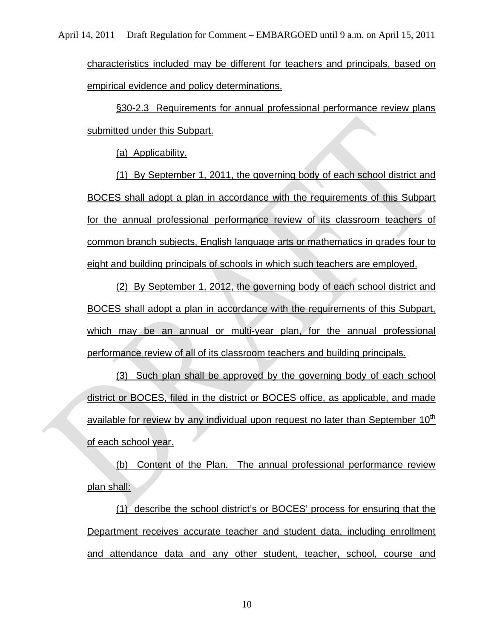characteristics included may be different for teachers and principals, based on empirical evidence and policy determinations.

§30-2.3 Requirements for annual professional performance review plans submitted under this Subpart.

(a) Applicability.

(1) By September 1, 2011, the governing body of each school district and BOCES shall adopt a plan in accordance with the requirements of this Subpart for the annual professional performance review of its classroom teachers of common branch subjects, English language arts or mathematics in grades four to eight and building principals of schools in which such teachers are employed.

(2) By September 1, 2012, the governing body of each school district and BOCES shall adopt a plan in accordance with the requirements of this Subpart, which may be an annual or multi-year plan, for the annual professional performance review of all of its classroom teachers and building principals.

(3) Such plan shall be approved by the governing body of each school district or BOCES, filed in the district or BOCES office, as applicable, and made available for review by any individual upon request no later than September 10<sup>th</sup> of each school year.

(b) Content of the Plan. The annual professional performance review plan shall:

(1) describe the school district's or BOCES' process for ensuring that the Department receives accurate teacher and student data, including enrollment and attendance data and any other student, teacher, school, course and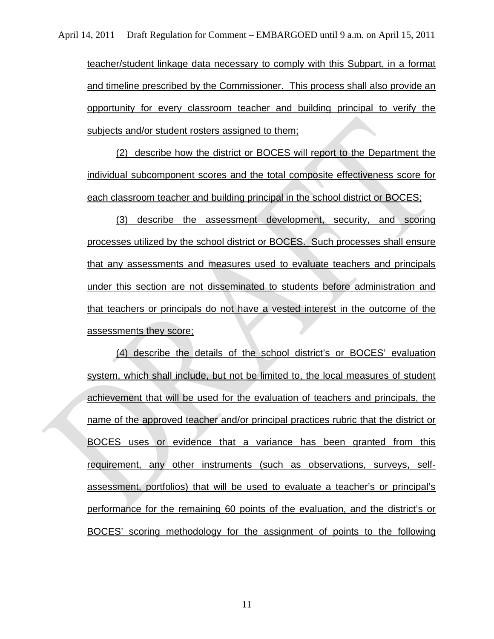teacher/student linkage data necessary to comply with this Subpart, in a format and timeline prescribed by the Commissioner. This process shall also provide an opportunity for every classroom teacher and building principal to verify the subjects and/or student rosters assigned to them;

(2) describe how the district or BOCES will report to the Department the individual subcomponent scores and the total composite effectiveness score for each classroom teacher and building principal in the school district or BOCES;

(3) describe the assessment development, security, and scoring processes utilized by the school district or BOCES. Such processes shall ensure that any assessments and measures used to evaluate teachers and principals under this section are not disseminated to students before administration and that teachers or principals do not have a vested interest in the outcome of the assessments they score;

(4) describe the details of the school district's or BOCES' evaluation system, which shall include, but not be limited to, the local measures of student achievement that will be used for the evaluation of teachers and principals, the name of the approved teacher and/or principal practices rubric that the district or BOCES uses or evidence that a variance has been granted from this requirement, any other instruments (such as observations, surveys, selfassessment, portfolios) that will be used to evaluate a teacher's or principal's performance for the remaining 60 points of the evaluation, and the district's or BOCES' scoring methodology for the assignment of points to the following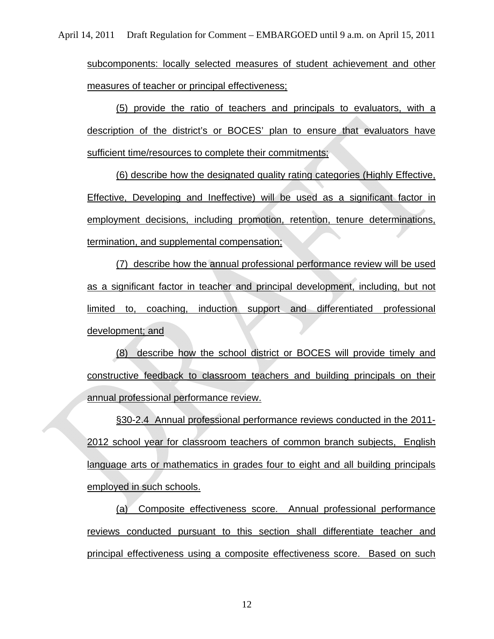subcomponents: locally selected measures of student achievement and other measures of teacher or principal effectiveness;

(5) provide the ratio of teachers and principals to evaluators, with a description of the district's or BOCES' plan to ensure that evaluators have sufficient time/resources to complete their commitments;

(6) describe how the designated quality rating categories (Highly Effective, Effective, Developing and Ineffective) will be used as a significant factor in employment decisions, including promotion, retention, tenure determinations, termination, and supplemental compensation;

(7) describe how the annual professional performance review will be used as a significant factor in teacher and principal development, including, but not limited to, coaching, induction support and differentiated professional development; and

(8) describe how the school district or BOCES will provide timely and constructive feedback to classroom teachers and building principals on their annual professional performance review.

§30-2.4 Annual professional performance reviews conducted in the 2011- 2012 school year for classroom teachers of common branch subjects, English language arts or mathematics in grades four to eight and all building principals employed in such schools.

(a) Composite effectiveness score. Annual professional performance reviews conducted pursuant to this section shall differentiate teacher and principal effectiveness using a composite effectiveness score. Based on such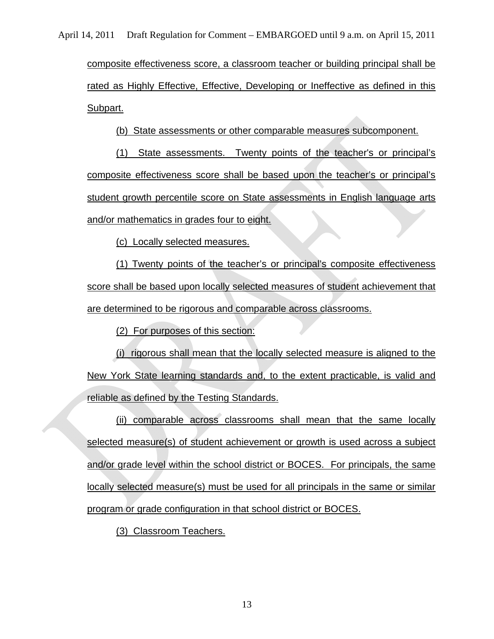composite effectiveness score, a classroom teacher or building principal shall be rated as Highly Effective, Effective, Developing or Ineffective as defined in this Subpart.

(b) State assessments or other comparable measures subcomponent.

(1) State assessments. Twenty points of the teacher's or principal's composite effectiveness score shall be based upon the teacher's or principal's student growth percentile score on State assessments in English language arts and/or mathematics in grades four to eight.

(c) Locally selected measures.

(1) Twenty points of the teacher's or principal's composite effectiveness score shall be based upon locally selected measures of student achievement that are determined to be rigorous and comparable across classrooms.

(2) For purposes of this section:

(i) rigorous shall mean that the locally selected measure is aligned to the New York State learning standards and, to the extent practicable, is valid and reliable as defined by the Testing Standards.

(ii) comparable across classrooms shall mean that the same locally selected measure(s) of student achievement or growth is used across a subject and/or grade level within the school district or BOCES. For principals, the same locally selected measure(s) must be used for all principals in the same or similar program or grade configuration in that school district or BOCES.

(3) Classroom Teachers.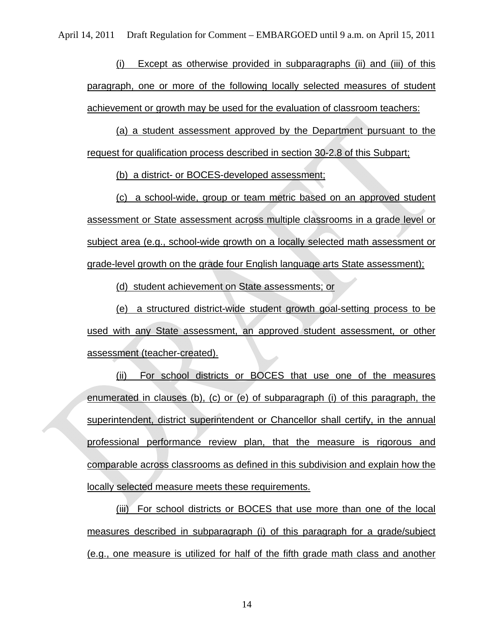(i) Except as otherwise provided in subparagraphs (ii) and (iii) of this paragraph, one or more of the following locally selected measures of student achievement or growth may be used for the evaluation of classroom teachers:

(a) a student assessment approved by the Department pursuant to the request for qualification process described in section 30-2.8 of this Subpart;

(b) a district- or BOCES-developed assessment;

(c) a school-wide, group or team metric based on an approved student assessment or State assessment across multiple classrooms in a grade level or subject area (e.g., school-wide growth on a locally selected math assessment or grade-level growth on the grade four English language arts State assessment);

(d) student achievement on State assessments; or

(e) a structured district-wide student growth goal-setting process to be used with any State assessment, an approved student assessment, or other assessment (teacher-created).

(ii) For school districts or BOCES that use one of the measures enumerated in clauses (b), (c) or (e) of subparagraph (i) of this paragraph, the superintendent, district superintendent or Chancellor shall certify, in the annual professional performance review plan, that the measure is rigorous and comparable across classrooms as defined in this subdivision and explain how the locally selected measure meets these requirements.

(iii) For school districts or BOCES that use more than one of the local measures described in subparagraph (i) of this paragraph for a grade/subject (e.g., one measure is utilized for half of the fifth grade math class and another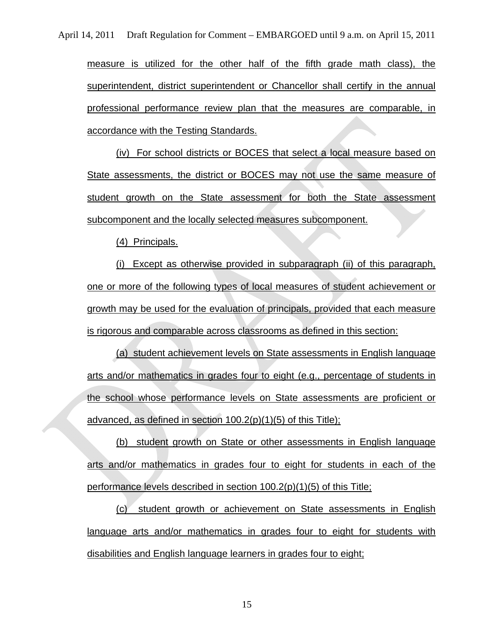measure is utilized for the other half of the fifth grade math class), the superintendent, district superintendent or Chancellor shall certify in the annual professional performance review plan that the measures are comparable, in accordance with the Testing Standards.

(iv) For school districts or BOCES that select a local measure based on State assessments, the district or BOCES may not use the same measure of student growth on the State assessment for both the State assessment subcomponent and the locally selected measures subcomponent.

(4) Principals.

(i) Except as otherwise provided in subparagraph (ii) of this paragraph, one or more of the following types of local measures of student achievement or growth may be used for the evaluation of principals, provided that each measure is rigorous and comparable across classrooms as defined in this section:

(a) student achievement levels on State assessments in English language arts and/or mathematics in grades four to eight (e.g., percentage of students in the school whose performance levels on State assessments are proficient or advanced, as defined in section 100.2(p)(1)(5) of this Title);

(b) student growth on State or other assessments in English language arts and/or mathematics in grades four to eight for students in each of the performance levels described in section 100.2(p)(1)(5) of this Title;

(c) student growth or achievement on State assessments in English language arts and/or mathematics in grades four to eight for students with disabilities and English language learners in grades four to eight;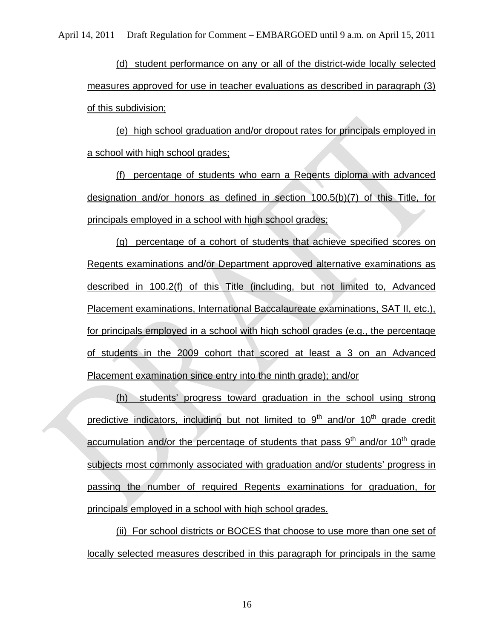(d) student performance on any or all of the district-wide locally selected measures approved for use in teacher evaluations as described in paragraph (3) of this subdivision;

(e) high school graduation and/or dropout rates for principals employed in a school with high school grades;

(f) percentage of students who earn a Regents diploma with advanced designation and/or honors as defined in section 100.5(b)(7) of this Title, for principals employed in a school with high school grades;

(g) percentage of a cohort of students that achieve specified scores on Regents examinations and/or Department approved alternative examinations as described in 100.2(f) of this Title (including, but not limited to, Advanced Placement examinations, International Baccalaureate examinations, SAT II, etc.), for principals employed in a school with high school grades (e.g., the percentage of students in the 2009 cohort that scored at least a 3 on an Advanced Placement examination since entry into the ninth grade); and/or

(h) students' progress toward graduation in the school using strong predictive indicators, including but not limited to  $9<sup>th</sup>$  and/or  $10<sup>th</sup>$  grade credit accumulation and/or the percentage of students that pass  $9<sup>th</sup>$  and/or 10<sup>th</sup> grade subjects most commonly associated with graduation and/or students' progress in passing the number of required Regents examinations for graduation, for principals employed in a school with high school grades.

(ii) For school districts or BOCES that choose to use more than one set of locally selected measures described in this paragraph for principals in the same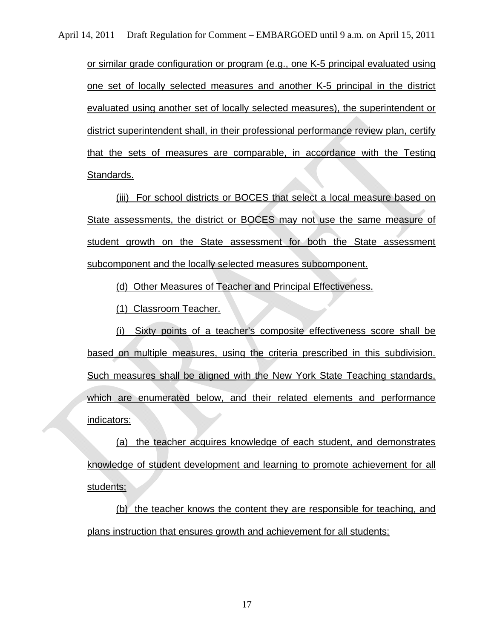or similar grade configuration or program (e.g., one K-5 principal evaluated using one set of locally selected measures and another K-5 principal in the district evaluated using another set of locally selected measures), the superintendent or district superintendent shall, in their professional performance review plan, certify that the sets of measures are comparable, in accordance with the Testing Standards.

(iii) For school districts or BOCES that select a local measure based on State assessments, the district or BOCES may not use the same measure of student growth on the State assessment for both the State assessment subcomponent and the locally selected measures subcomponent.

(d) Other Measures of Teacher and Principal Effectiveness.

(1) Classroom Teacher.

(i) Sixty points of a teacher's composite effectiveness score shall be based on multiple measures, using the criteria prescribed in this subdivision. Such measures shall be aligned with the New York State Teaching standards, which are enumerated below, and their related elements and performance indicators:

(a) the teacher acquires knowledge of each student, and demonstrates knowledge of student development and learning to promote achievement for all students;

(b) the teacher knows the content they are responsible for teaching, and plans instruction that ensures growth and achievement for all students;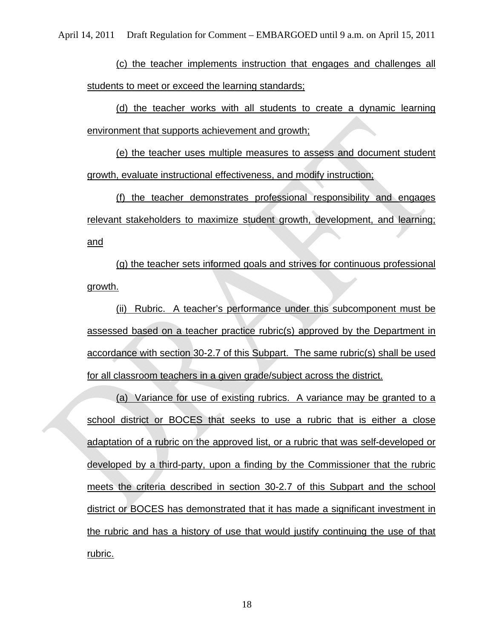(c) the teacher implements instruction that engages and challenges all students to meet or exceed the learning standards;

(d) the teacher works with all students to create a dynamic learning environment that supports achievement and growth;

(e) the teacher uses multiple measures to assess and document student growth, evaluate instructional effectiveness, and modify instruction;

(f) the teacher demonstrates professional responsibility and engages relevant stakeholders to maximize student growth, development, and learning; and

(g) the teacher sets informed goals and strives for continuous professional growth.

(ii) Rubric. A teacher's performance under this subcomponent must be assessed based on a teacher practice rubric(s) approved by the Department in accordance with section 30-2.7 of this Subpart. The same rubric(s) shall be used for all classroom teachers in a given grade/subject across the district.

(a) Variance for use of existing rubrics. A variance may be granted to a school district or BOCES that seeks to use a rubric that is either a close adaptation of a rubric on the approved list, or a rubric that was self-developed or developed by a third-party, upon a finding by the Commissioner that the rubric meets the criteria described in section 30-2.7 of this Subpart and the school district or BOCES has demonstrated that it has made a significant investment in the rubric and has a history of use that would justify continuing the use of that rubric.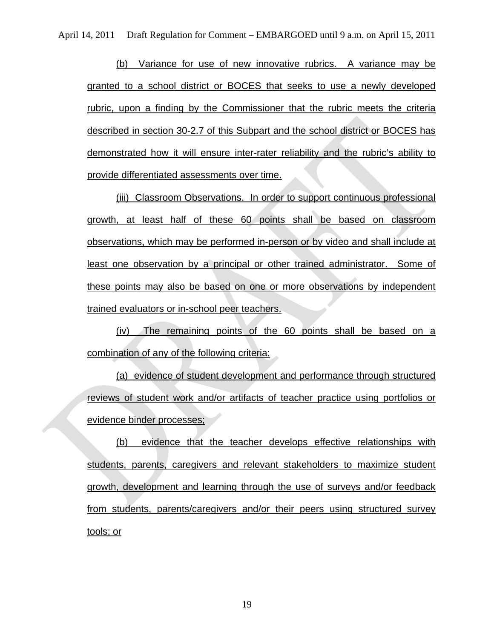(b) Variance for use of new innovative rubrics. A variance may be granted to a school district or BOCES that seeks to use a newly developed rubric, upon a finding by the Commissioner that the rubric meets the criteria described in section 30-2.7 of this Subpart and the school district or BOCES has demonstrated how it will ensure inter-rater reliability and the rubric's ability to provide differentiated assessments over time.

(iii) Classroom Observations. In order to support continuous professional growth, at least half of these 60 points shall be based on classroom observations, which may be performed in-person or by video and shall include at least one observation by a principal or other trained administrator. Some of these points may also be based on one or more observations by independent trained evaluators or in-school peer teachers.

(iv) The remaining points of the 60 points shall be based on a combination of any of the following criteria:

(a) evidence of student development and performance through structured reviews of student work and/or artifacts of teacher practice using portfolios or evidence binder processes;

(b) evidence that the teacher develops effective relationships with students, parents, caregivers and relevant stakeholders to maximize student growth, development and learning through the use of surveys and/or feedback from students, parents/caregivers and/or their peers using structured survey tools; or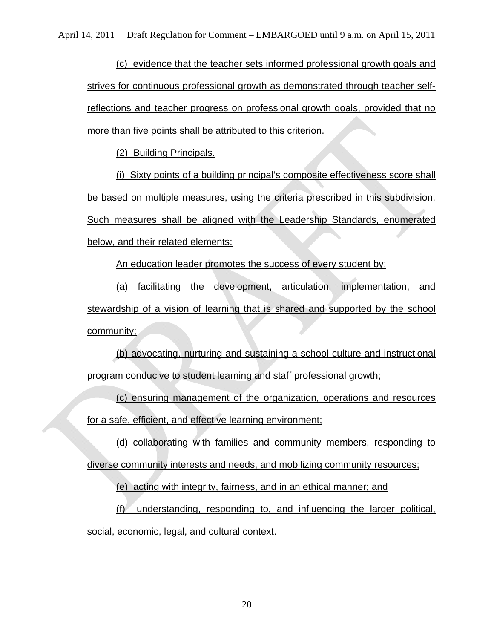(c) evidence that the teacher sets informed professional growth goals and strives for continuous professional growth as demonstrated through teacher selfreflections and teacher progress on professional growth goals, provided that no more than five points shall be attributed to this criterion.

(2)Building Principals.

(i) Sixty points of a building principal's composite effectiveness score shall be based on multiple measures, using the criteria prescribed in this subdivision. Such measures shall be aligned with the Leadership Standards, enumerated below, and their related elements:

An education leader promotes the success of every student by:

(a) facilitating the development, articulation, implementation, and stewardship of a vision of learning that is shared and supported by the school community;

(b) advocating, nurturing and sustaining a school culture and instructional program conducive to student learning and staff professional growth;

(c) ensuring management of the organization, operations and resources for a safe, efficient, and effective learning environment;

(d) collaborating with families and community members, responding to diverse community interests and needs, and mobilizing community resources;

(e) acting with integrity, fairness, and in an ethical manner; and

(f) understanding, responding to, and influencing the larger political, social, economic, legal, and cultural context.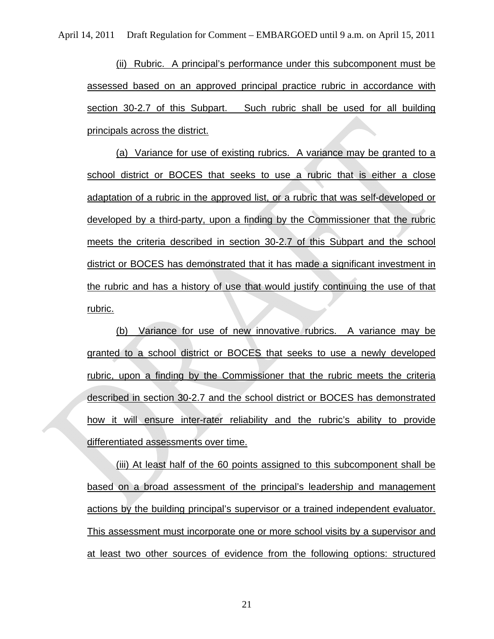(ii) Rubric. A principal's performance under this subcomponent must be assessed based on an approved principal practice rubric in accordance with section 30-2.7 of this Subpart. Such rubric shall be used for all building principals across the district.

(a) Variance for use of existing rubrics. A variance may be granted to a school district or BOCES that seeks to use a rubric that is either a close adaptation of a rubric in the approved list, or a rubric that was self-developed or developed by a third-party, upon a finding by the Commissioner that the rubric meets the criteria described in section 30-2.7 of this Subpart and the school district or BOCES has demonstrated that it has made a significant investment in the rubric and has a history of use that would justify continuing the use of that rubric.

(b) Variance for use of new innovative rubrics. A variance may be granted to a school district or BOCES that seeks to use a newly developed rubric, upon a finding by the Commissioner that the rubric meets the criteria described in section 30-2.7 and the school district or BOCES has demonstrated how it will ensure inter-rater reliability and the rubric's ability to provide differentiated assessments over time.

(iii) At least half of the 60 points assigned to this subcomponent shall be based on a broad assessment of the principal's leadership and management actions by the building principal's supervisor or a trained independent evaluator. This assessment must incorporate one or more school visits by a supervisor and at least two other sources of evidence from the following options: structured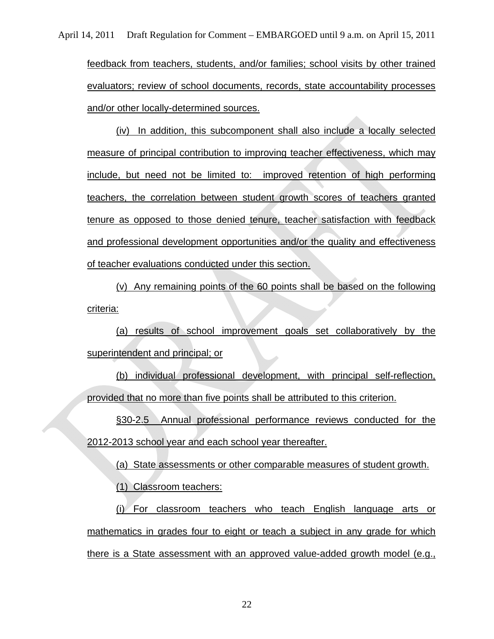feedback from teachers, students, and/or families; school visits by other trained evaluators; review of school documents, records, state accountability processes and/or other locally-determined sources.

(iv) In addition, this subcomponent shall also include a locally selected measure of principal contribution to improving teacher effectiveness, which may include, but need not be limited to: improved retention of high performing teachers, the correlation between student growth scores of teachers granted tenure as opposed to those denied tenure, teacher satisfaction with feedback and professional development opportunities and/or the quality and effectiveness of teacher evaluations conducted under this section.

(v) Any remaining points of the 60 points shall be based on the following criteria:

(a) results of school improvement goals set collaboratively by the superintendent and principal; or

(b) individual professional development, with principal self-reflection, provided that no more than five points shall be attributed to this criterion.

§30-2.5 Annual professional performance reviews conducted for the 2012-2013 school year and each school year thereafter.

(a) State assessments or other comparable measures of student growth.

(1) Classroom teachers:

(i) For classroom teachers who teach English language arts or mathematics in grades four to eight or teach a subject in any grade for which there is a State assessment with an approved value-added growth model (e.g.,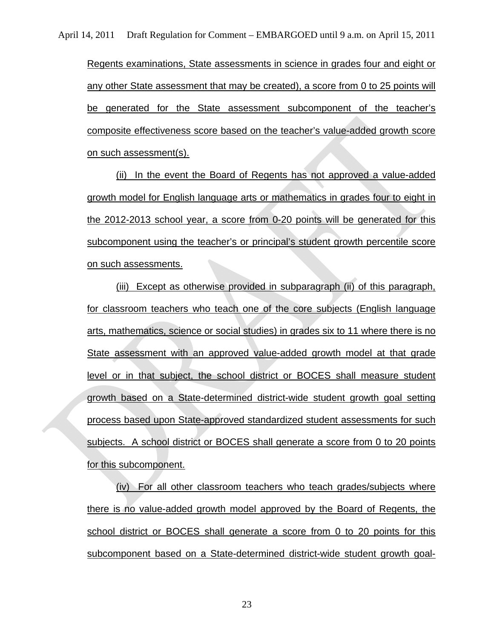Regents examinations, State assessments in science in grades four and eight or any other State assessment that may be created), a score from 0 to 25 points will be generated for the State assessment subcomponent of the teacher's composite effectiveness score based on the teacher's value-added growth score on such assessment(s).

(ii) In the event the Board of Regents has not approved a value-added growth model for English language arts or mathematics in grades four to eight in the 2012-2013 school year, a score from 0-20 points will be generated for this subcomponent using the teacher's or principal's student growth percentile score on such assessments.

(iii) Except as otherwise provided in subparagraph (ii) of this paragraph, for classroom teachers who teach one of the core subjects (English language arts, mathematics, science or social studies) in grades six to 11 where there is no State assessment with an approved value-added growth model at that grade level or in that subject, the school district or BOCES shall measure student growth based on a State-determined district-wide student growth goal setting process based upon State-approved standardized student assessments for such subjects. A school district or BOCES shall generate a score from 0 to 20 points for this subcomponent.

(iv) For all other classroom teachers who teach grades/subjects where there is no value-added growth model approved by the Board of Regents, the school district or BOCES shall generate a score from 0 to 20 points for this subcomponent based on a State-determined district-wide student growth goal-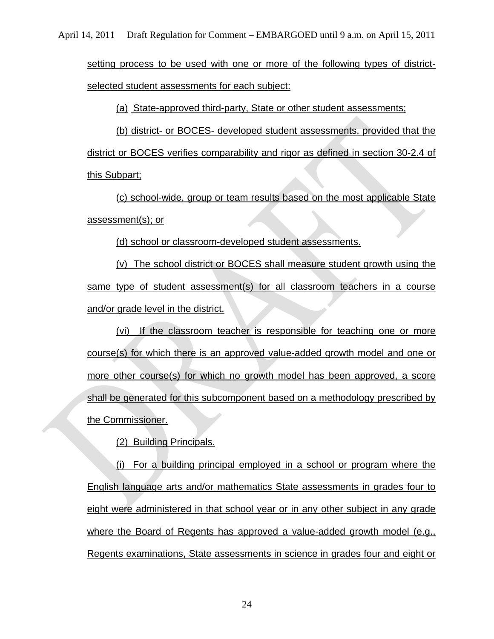setting process to be used with one or more of the following types of districtselected student assessments for each subject:

(a) State-approved third-party, State or other student assessments;

(b) district- or BOCES- developed student assessments, provided that the district or BOCES verifies comparability and rigor as defined in section 30-2.4 of this Subpart;

(c) school-wide, group or team results based on the most applicable State assessment(s); or

(d) school or classroom-developed student assessments.

(v) The school district or BOCES shall measure student growth using the same type of student assessment(s) for all classroom teachers in a course and/or grade level in the district.

(vi) If the classroom teacher is responsible for teaching one or more course(s) for which there is an approved value-added growth model and one or more other course(s) for which no growth model has been approved, a score shall be generated for this subcomponent based on a methodology prescribed by the Commissioner.

(2) Building Principals.

(i) For a building principal employed in a school or program where the English language arts and/or mathematics State assessments in grades four to eight were administered in that school year or in any other subject in any grade where the Board of Regents has approved a value-added growth model (e.g., Regents examinations, State assessments in science in grades four and eight or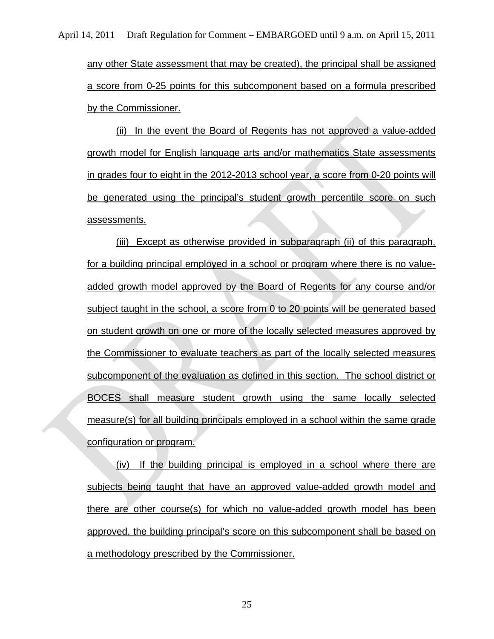any other State assessment that may be created), the principal shall be assigned a score from 0-25 points for this subcomponent based on a formula prescribed by the Commissioner.

(ii) In the event the Board of Regents has not approved a value-added growth model for English language arts and/or mathematics State assessments in grades four to eight in the 2012-2013 school year, a score from 0-20 points will be generated using the principal's student growth percentile score on such assessments.

(iii) Except as otherwise provided in subparagraph (ii) of this paragraph, for a building principal employed in a school or program where there is no valueadded growth model approved by the Board of Regents for any course and/or subject taught in the school, a score from 0 to 20 points will be generated based on student growth on one or more of the locally selected measures approved by the Commissioner to evaluate teachers as part of the locally selected measures subcomponent of the evaluation as defined in this section. The school district or BOCES shall measure student growth using the same locally selected measure(s) for all building principals employed in a school within the same grade configuration or program.

(iv) If the building principal is employed in a school where there are subjects being taught that have an approved value-added growth model and there are other course(s) for which no value-added growth model has been approved, the building principal's score on this subcomponent shall be based on a methodology prescribed by the Commissioner.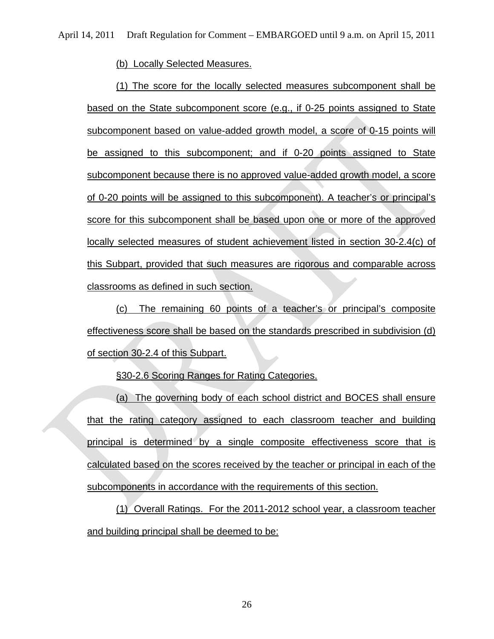(b) Locally Selected Measures.

(1) The score for the locally selected measures subcomponent shall be based on the State subcomponent score (e.g., if 0-25 points assigned to State subcomponent based on value-added growth model, a score of 0-15 points will be assigned to this subcomponent; and if 0-20 points assigned to State subcomponent because there is no approved value-added growth model, a score of 0-20 points will be assigned to this subcomponent). A teacher's or principal's score for this subcomponent shall be based upon one or more of the approved locally selected measures of student achievement listed in section 30-2.4(c) of this Subpart, provided that such measures are rigorous and comparable across classrooms as defined in such section.

(c) The remaining 60 points of a teacher's or principal's composite effectiveness score shall be based on the standards prescribed in subdivision (d) of section 30-2.4 of this Subpart.

§30-2.6 Scoring Ranges for Rating Categories.

(a) The governing body of each school district and BOCES shall ensure that the rating category assigned to each classroom teacher and building principal is determined by a single composite effectiveness score that is calculated based on the scores received by the teacher or principal in each of the subcomponents in accordance with the requirements of this section.

(1) Overall Ratings. For the 2011-2012 school year, a classroom teacher and building principal shall be deemed to be: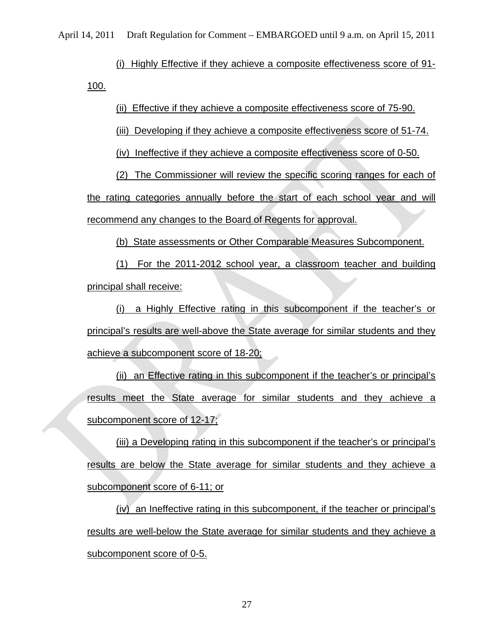(i) Highly Effective if they achieve a composite effectiveness score of 91- 100.

(ii) Effective if they achieve a composite effectiveness score of 75-90.

(iii) Developing if they achieve a composite effectiveness score of 51-74.

(iv) Ineffective if they achieve a composite effectiveness score of 0-50.

(2) The Commissioner will review the specific scoring ranges for each of the rating categories annually before the start of each school year and will recommend any changes to the Board of Regents for approval.

(b) State assessments or Other Comparable Measures Subcomponent.

(1) For the 2011-2012 school year, a classroom teacher and building principal shall receive:

(i) a Highly Effective rating in this subcomponent if the teacher's or principal's results are well-above the State average for similar students and they achieve a subcomponent score of 18-20;

(ii) an Effective rating in this subcomponent if the teacher's or principal's results meet the State average for similar students and they achieve a subcomponent score of 12-17;

(iii) a Developing rating in this subcomponent if the teacher's or principal's results are below the State average for similar students and they achieve a subcomponent score of 6-11; or

(iv) an Ineffective rating in this subcomponent, if the teacher or principal's results are well-below the State average for similar students and they achieve a subcomponent score of 0-5.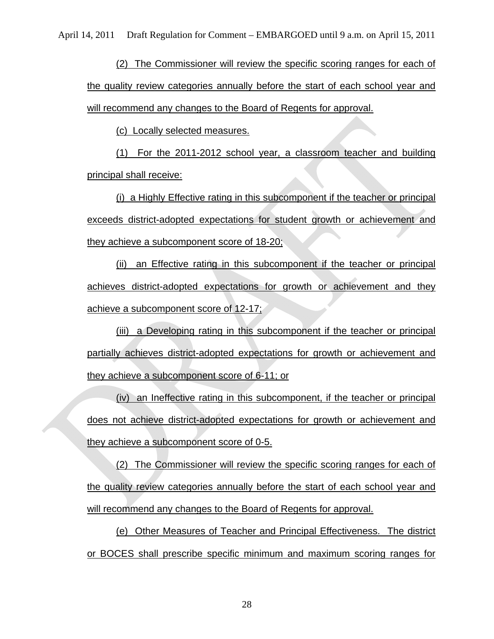(2) The Commissioner will review the specific scoring ranges for each of the quality review categories annually before the start of each school year and will recommend any changes to the Board of Regents for approval.

(c) Locally selected measures.

(1) For the 2011-2012 school year, a classroom teacher and building principal shall receive:

(i) a Highly Effective rating in this subcomponent if the teacher or principal exceeds district-adopted expectations for student growth or achievement and they achieve a subcomponent score of 18-20;

(ii) an Effective rating in this subcomponent if the teacher or principal achieves district-adopted expectations for growth or achievement and they achieve a subcomponent score of 12-17;

(iii) a Developing rating in this subcomponent if the teacher or principal partially achieves district-adopted expectations for growth or achievement and they achieve a subcomponent score of 6-11; or

(iv) an Ineffective rating in this subcomponent, if the teacher or principal does not achieve district-adopted expectations for growth or achievement and they achieve a subcomponent score of 0-5.

(2) The Commissioner will review the specific scoring ranges for each of the quality review categories annually before the start of each school year and will recommend any changes to the Board of Regents for approval.

(e) Other Measures of Teacher and Principal Effectiveness. The district or BOCES shall prescribe specific minimum and maximum scoring ranges for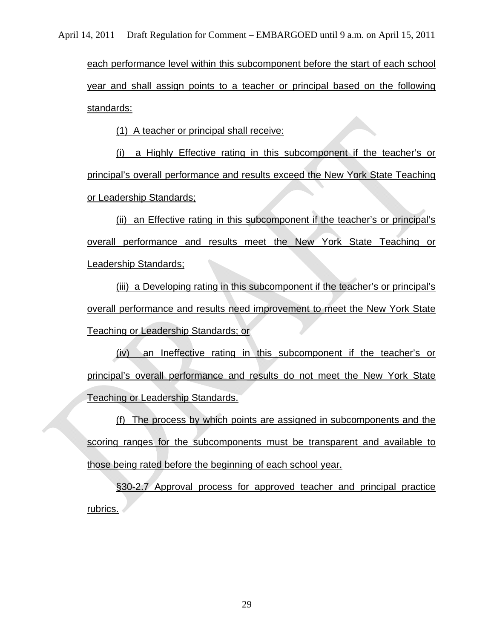each performance level within this subcomponent before the start of each school year and shall assign points to a teacher or principal based on the following standards:

(1) A teacher or principal shall receive:

(i) a Highly Effective rating in this subcomponent if the teacher's or principal's overall performance and results exceed the New York State Teaching or Leadership Standards;

(ii) an Effective rating in this subcomponent if the teacher's or principal's overall performance and results meet the New York State Teaching or Leadership Standards;

(iii) a Developing rating in this subcomponent if the teacher's or principal's overall performance and results need improvement to meet the New York State Teaching or Leadership Standards; or

(iv) an Ineffective rating in this subcomponent if the teacher's or principal's overall performance and results do not meet the New York State Teaching or Leadership Standards.

(f) The process by which points are assigned in subcomponents and the scoring ranges for the subcomponents must be transparent and available to those being rated before the beginning of each school year.

§30-2.7 Approval process for approved teacher and principal practice rubrics.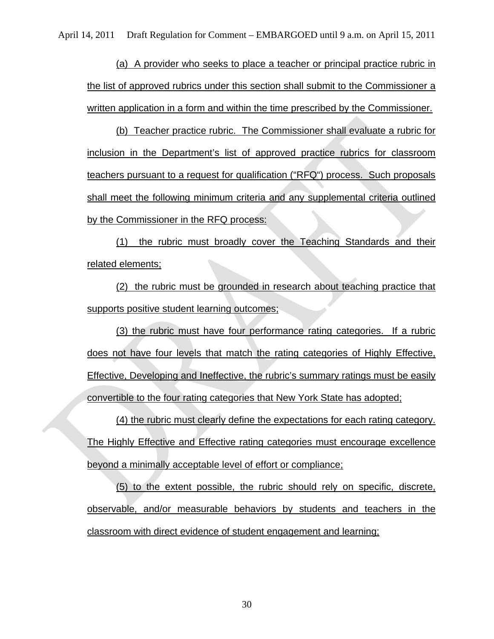(a) A provider who seeks to place a teacher or principal practice rubric in the list of approved rubrics under this section shall submit to the Commissioner a written application in a form and within the time prescribed by the Commissioner.

(b) Teacher practice rubric. The Commissioner shall evaluate a rubric for inclusion in the Department's list of approved practice rubrics for classroom teachers pursuant to a request for qualification ("RFQ") process. Such proposals shall meet the following minimum criteria and any supplemental criteria outlined by the Commissioner in the RFQ process:

(1) the rubric must broadly cover the Teaching Standards and their related elements;

(2) the rubric must be grounded in research about teaching practice that supports positive student learning outcomes;

(3) the rubric must have four performance rating categories. If a rubric does not have four levels that match the rating categories of Highly Effective, Effective, Developing and Ineffective, the rubric's summary ratings must be easily convertible to the four rating categories that New York State has adopted;

(4) the rubric must clearly define the expectations for each rating category. The Highly Effective and Effective rating categories must encourage excellence beyond a minimally acceptable level of effort or compliance;

(5) to the extent possible, the rubric should rely on specific, discrete, observable, and/or measurable behaviors by students and teachers in the classroom with direct evidence of student engagement and learning;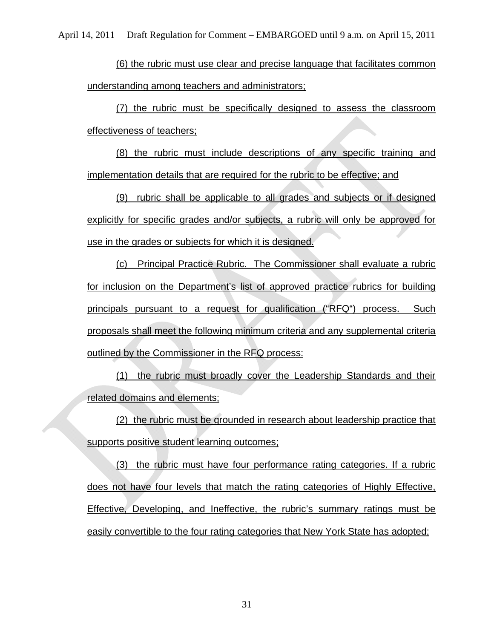(6) the rubric must use clear and precise language that facilitates common understanding among teachers and administrators;

(7) the rubric must be specifically designed to assess the classroom effectiveness of teachers;

(8) the rubric must include descriptions of any specific training and implementation details that are required for the rubric to be effective; and

(9)rubric shall be applicable to all grades and subjects or if designed explicitly for specific grades and/or subjects, a rubric will only be approved for use in the grades or subjects for which it is designed.

(c) Principal Practice Rubric. The Commissioner shall evaluate a rubric for inclusion on the Department's list of approved practice rubrics for building principals pursuant to a request for qualification ("RFQ") process. Such proposals shall meet the following minimum criteria and any supplemental criteria outlined by the Commissioner in the RFQ process:

(1) the rubric must broadly cover the Leadership Standards and their related domains and elements;

(2) the rubric must be grounded in research about leadership practice that supports positive student learning outcomes;

(3) the rubric must have four performance rating categories. If a rubric does not have four levels that match the rating categories of Highly Effective, Effective, Developing, and Ineffective, the rubric's summary ratings must be easily convertible to the four rating categories that New York State has adopted;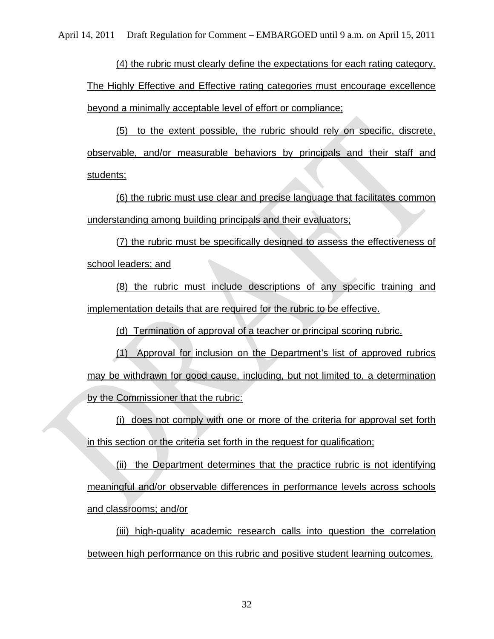(4) the rubric must clearly define the expectations for each rating category. The Highly Effective and Effective rating categories must encourage excellence beyond a minimally acceptable level of effort or compliance;

(5) to the extent possible, the rubric should rely on specific, discrete, observable, and/or measurable behaviors by principals and their staff and students;

(6) the rubric must use clear and precise language that facilitates common understanding among building principals and their evaluators;

(7) the rubric must be specifically designed to assess the effectiveness of school leaders; and

(8) the rubric must include descriptions of any specific training and implementation details that are required for the rubric to be effective.

(d) Termination of approval of a teacher or principal scoring rubric.

(1) Approval for inclusion on the Department's list of approved rubrics may be withdrawn for good cause, including, but not limited to, a determination by the Commissioner that the rubric:

(i) does not comply with one or more of the criteria for approval set forth in this section or the criteria set forth in the request for qualification;

(ii) the Department determines that the practice rubric is not identifying meaningful and/or observable differences in performance levels across schools and classrooms; and/or

(iii) high-quality academic research calls into question the correlation between high performance on this rubric and positive student learning outcomes.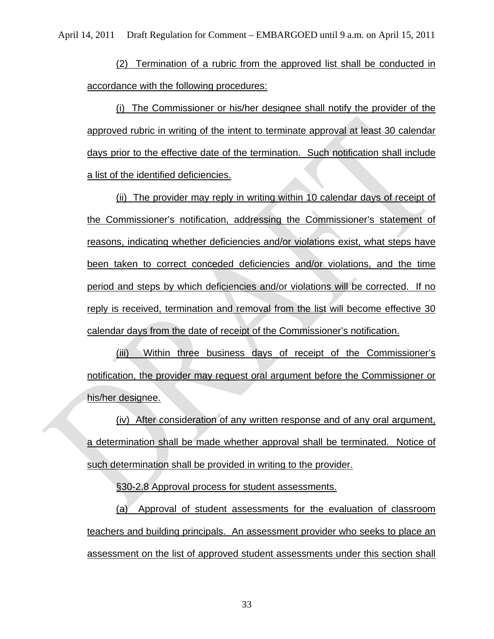(2) Termination of a rubric from the approved list shall be conducted in accordance with the following procedures:

(i) The Commissioner or his/her designee shall notify the provider of the approved rubric in writing of the intent to terminate approval at least 30 calendar days prior to the effective date of the termination. Such notification shall include a list of the identified deficiencies.

(ii) The provider may reply in writing within 10 calendar days of receipt of the Commissioner's notification, addressing the Commissioner's statement of reasons, indicating whether deficiencies and/or violations exist, what steps have been taken to correct conceded deficiencies and/or violations, and the time period and steps by which deficiencies and/or violations will be corrected. If no reply is received, termination and removal from the list will become effective 30 calendar days from the date of receipt of the Commissioner's notification.

(iii) Within three business days of receipt of the Commissioner's notification, the provider may request oral argument before the Commissioner or his/her designee.

(iv) After consideration of any written response and of any oral argument, a determination shall be made whether approval shall be terminated. Notice of such determination shall be provided in writing to the provider.

§30-2.8 Approval process for student assessments.

(a) Approval of student assessments for the evaluation of classroom teachers and building principals. An assessment provider who seeks to place an assessment on the list of approved student assessments under this section shall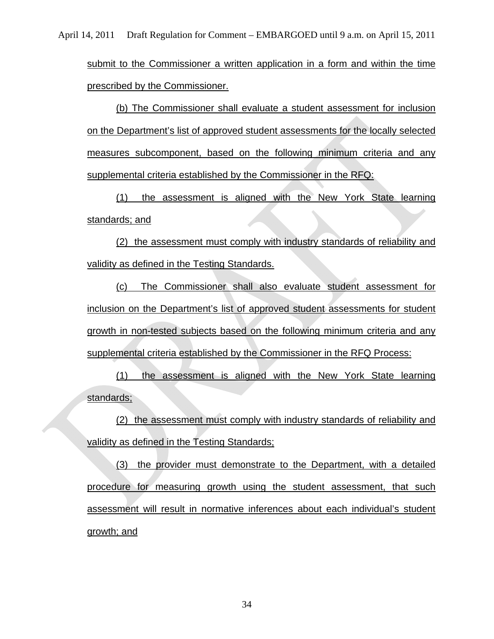submit to the Commissioner a written application in a form and within the time prescribed by the Commissioner.

(b) The Commissioner shall evaluate a student assessment for inclusion on the Department's list of approved student assessments for the locally selected measures subcomponent, based on the following minimum criteria and any supplemental criteria established by the Commissioner in the RFQ:

(1) the assessment is aligned with the New York State learning standards; and

(2) the assessment must comply with industry standards of reliability and validity as defined in the Testing Standards.

(c) The Commissioner shall also evaluate student assessment for inclusion on the Department's list of approved student assessments for student growth in non-tested subjects based on the following minimum criteria and any supplemental criteria established by the Commissioner in the RFQ Process:

(1) the assessment is aligned with the New York State learning standards;

(2) the assessment must comply with industry standards of reliability and validity as defined in the Testing Standards;

(3) the provider must demonstrate to the Department, with a detailed procedure for measuring growth using the student assessment, that such assessment will result in normative inferences about each individual's student growth; and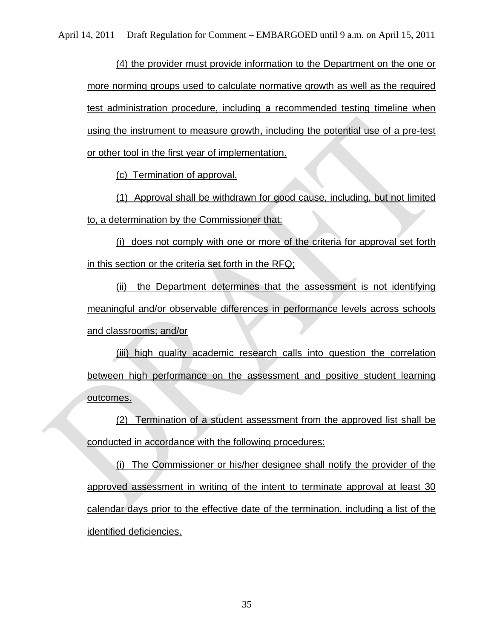(4) the provider must provide information to the Department on the one or more norming groups used to calculate normative growth as well as the required test administration procedure, including a recommended testing timeline when using the instrument to measure growth, including the potential use of a pre-test or other tool in the first year of implementation.

(c) Termination of approval.

(1) Approval shall be withdrawn for good cause, including, but not limited to, a determination by the Commissioner that:

(i) does not comply with one or more of the criteria for approval set forth in this section or the criteria set forth in the RFQ;

(ii) the Department determines that the assessment is not identifying meaningful and/or observable differences in performance levels across schools and classrooms; and/or

(iii) high quality academic research calls into question the correlation between high performance on the assessment and positive student learning outcomes.

(2) Termination of a student assessment from the approved list shall be conducted in accordance with the following procedures:

(i) The Commissioner or his/her designee shall notify the provider of the approved assessment in writing of the intent to terminate approval at least 30 calendar days prior to the effective date of the termination, including a list of the identified deficiencies.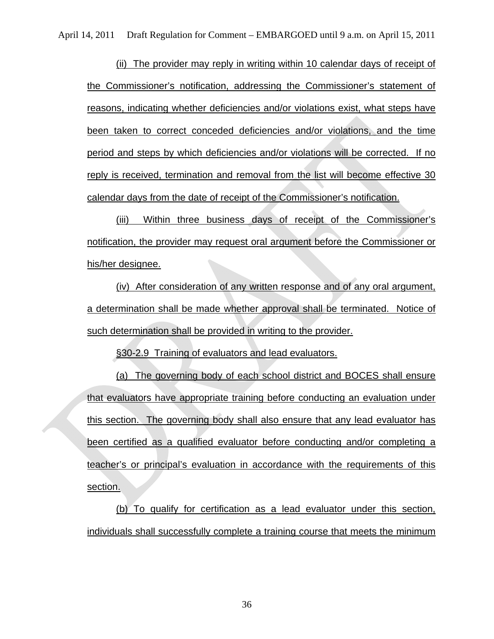(ii) The provider may reply in writing within 10 calendar days of receipt of the Commissioner's notification, addressing the Commissioner's statement of reasons, indicating whether deficiencies and/or violations exist, what steps have been taken to correct conceded deficiencies and/or violations, and the time period and steps by which deficiencies and/or violations will be corrected. If no reply is received, termination and removal from the list will become effective 30 calendar days from the date of receipt of the Commissioner's notification.

(iii) Within three business days of receipt of the Commissioner's notification, the provider may request oral argument before the Commissioner or his/her designee.

(iv) After consideration of any written response and of any oral argument, a determination shall be made whether approval shall be terminated. Notice of such determination shall be provided in writing to the provider.

§30-2.9 Training of evaluators and lead evaluators.

(a) The governing body of each school district and BOCES shall ensure that evaluators have appropriate training before conducting an evaluation under this section. The governing body shall also ensure that any lead evaluator has been certified as a qualified evaluator before conducting and/or completing a teacher's or principal's evaluation in accordance with the requirements of this section.

(b) To qualify for certification as a lead evaluator under this section, individuals shall successfully complete a training course that meets the minimum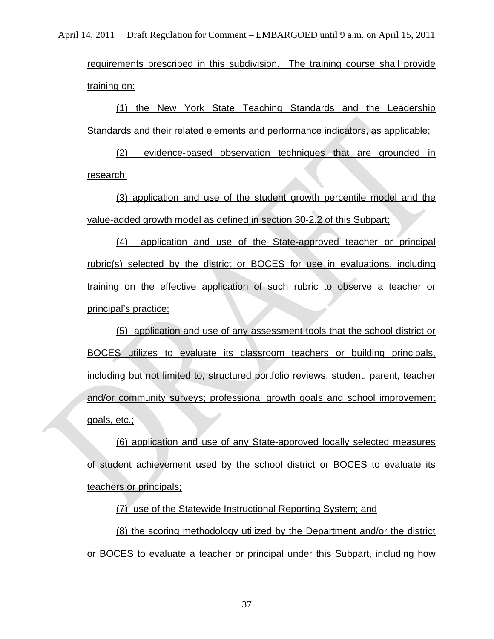requirements prescribed in this subdivision. The training course shall provide training on:

(1) the New York State Teaching Standards and the Leadership Standards and their related elements and performance indicators, as applicable;

(2) evidence-based observation techniques that are grounded in research;

(3) application and use of the student growth percentile model and the value-added growth model as defined in section 30-2.2 of this Subpart;

(4) application and use of the State-approved teacher or principal rubric(s) selected by the district or BOCES for use in evaluations, including training on the effective application of such rubric to observe a teacher or principal's practice;

(5) application and use of any assessment tools that the school district or BOCES utilizes to evaluate its classroom teachers or building principals, including but not limited to, structured portfolio reviews; student, parent, teacher and/or community surveys; professional growth goals and school improvement goals, etc.;

(6) application and use of any State-approved locally selected measures of student achievement used by the school district or BOCES to evaluate its teachers or principals;

(7) use of the Statewide Instructional Reporting System; and

(8) the scoring methodology utilized by the Department and/or the district or BOCES to evaluate a teacher or principal under this Subpart, including how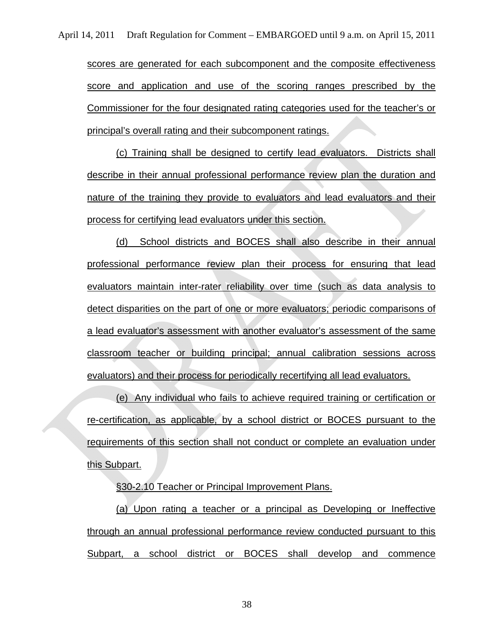scores are generated for each subcomponent and the composite effectiveness score and application and use of the scoring ranges prescribed by the Commissioner for the four designated rating categories used for the teacher's or principal's overall rating and their subcomponent ratings.

(c) Training shall be designed to certify lead evaluators. Districts shall describe in their annual professional performance review plan the duration and nature of the training they provide to evaluators and lead evaluators and their process for certifying lead evaluators under this section.

(d) School districts and BOCES shall also describe in their annual professional performance review plan their process for ensuring that lead evaluators maintain inter-rater reliability over time (such as data analysis to detect disparities on the part of one or more evaluators; periodic comparisons of a lead evaluator's assessment with another evaluator's assessment of the same classroom teacher or building principal; annual calibration sessions across evaluators) and their process for periodically recertifying all lead evaluators.

(e) Any individual who fails to achieve required training or certification or re-certification, as applicable, by a school district or BOCES pursuant to the requirements of this section shall not conduct or complete an evaluation under this Subpart.

§30-2.10 Teacher or Principal Improvement Plans.

(a) Upon rating a teacher or a principal as Developing or Ineffective through an annual professional performance review conducted pursuant to this Subpart, a school district or BOCES shall develop and commence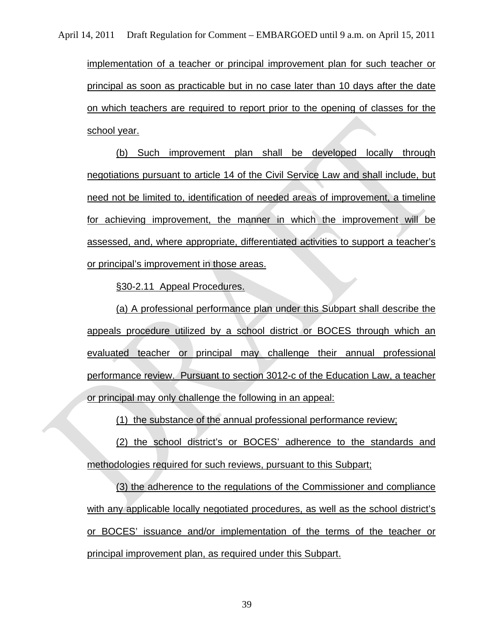implementation of a teacher or principal improvement plan for such teacher or principal as soon as practicable but in no case later than 10 days after the date on which teachers are required to report prior to the opening of classes for the school year.

(b) Such improvement plan shall be developed locally through negotiations pursuant to article 14 of the Civil Service Law and shall include, but need not be limited to, identification of needed areas of improvement, a timeline for achieving improvement, the manner in which the improvement will be assessed, and, where appropriate, differentiated activities to support a teacher's or principal's improvement in those areas.

§30-2.11 Appeal Procedures.

(a) A professional performance plan under this Subpart shall describe the appeals procedure utilized by a school district or BOCES through which an evaluated teacher or principal may challenge their annual professional performance review. Pursuant to section 3012-c of the Education Law, a teacher or principal may only challenge the following in an appeal:

(1) the substance of the annual professional performance review;

(2) the school district's or BOCES' adherence to the standards and methodologies required for such reviews, pursuant to this Subpart;

(3) the adherence to the regulations of the Commissioner and compliance with any applicable locally negotiated procedures, as well as the school district's or BOCES' issuance and/or implementation of the terms of the teacher or principal improvement plan, as required under this Subpart.